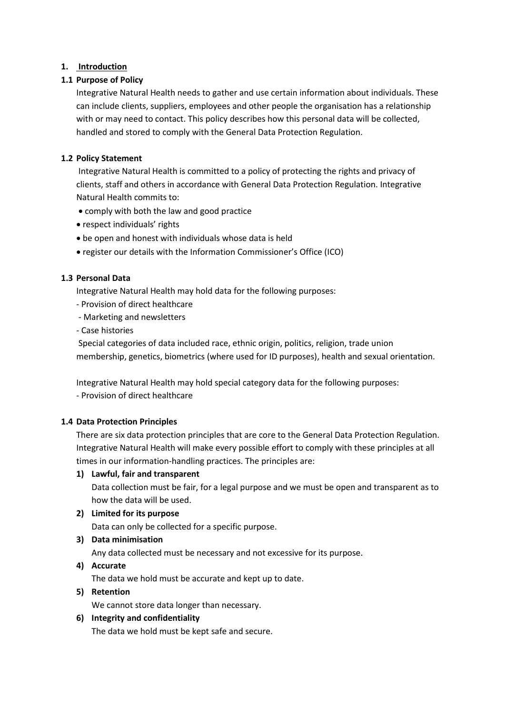## **1. Introduction**

## **1.1 Purpose of Policy**

Integrative Natural Health needs to gather and use certain information about individuals. These can include clients, suppliers, employees and other people the organisation has a relationship with or may need to contact. This policy describes how this personal data will be collected, handled and stored to comply with the General Data Protection Regulation.

## **1.2 Policy Statement**

Integrative Natural Health is committed to a policy of protecting the rights and privacy of clients, staff and others in accordance with General Data Protection Regulation. Integrative Natural Health commits to:

- comply with both the law and good practice
- respect individuals' rights
- be open and honest with individuals whose data is held
- register our details with the Information Commissioner's Office (ICO)

### **1.3 Personal Data**

Integrative Natural Health may hold data for the following purposes:

- Provision of direct healthcare
- Marketing and newsletters
- Case histories

Special categories of data included race, ethnic origin, politics, religion, trade union membership, genetics, biometrics (where used for ID purposes), health and sexual orientation.

Integrative Natural Health may hold special category data for the following purposes:

- Provision of direct healthcare

## **1.4 Data Protection Principles**

There are six data protection principles that are core to the General Data Protection Regulation. Integrative Natural Health will make every possible effort to comply with these principles at all times in our information-handling practices. The principles are:

### **1) Lawful, fair and transparent**

Data collection must be fair, for a legal purpose and we must be open and transparent as to how the data will be used.

### **2) Limited for its purpose**

Data can only be collected for a specific purpose.

## **3) Data minimisation**

Any data collected must be necessary and not excessive for its purpose.

### **4) Accurate**

The data we hold must be accurate and kept up to date.

### **5) Retention**

We cannot store data longer than necessary.

### **6) Integrity and confidentiality**

The data we hold must be kept safe and secure.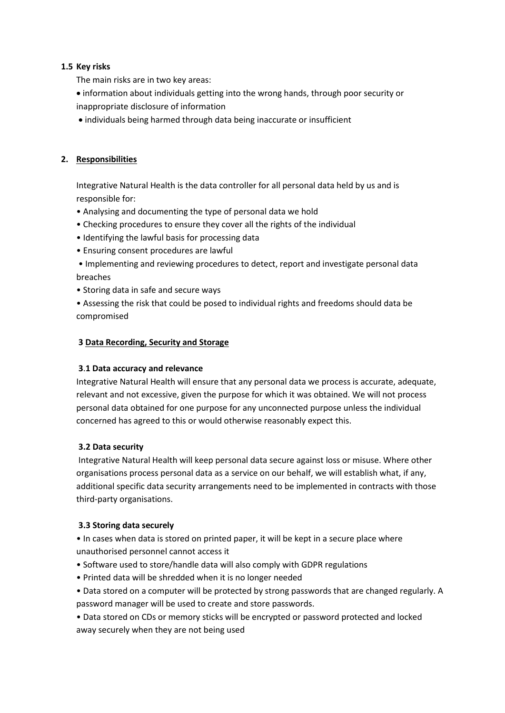### **1.5 Key risks**

The main risks are in two key areas:

- information about individuals getting into the wrong hands, through poor security or inappropriate disclosure of information
- individuals being harmed through data being inaccurate or insufficient

## **2. Responsibilities**

Integrative Natural Health is the data controller for all personal data held by us and is responsible for:

- Analysing and documenting the type of personal data we hold
- Checking procedures to ensure they cover all the rights of the individual
- Identifying the lawful basis for processing data
- Ensuring consent procedures are lawful

• Implementing and reviewing procedures to detect, report and investigate personal data breaches

• Storing data in safe and secure ways

• Assessing the risk that could be posed to individual rights and freedoms should data be compromised

### **3 Data Recording, Security and Storage**

### **3**.**1 Data accuracy and relevance**

Integrative Natural Health will ensure that any personal data we process is accurate, adequate, relevant and not excessive, given the purpose for which it was obtained. We will not process personal data obtained for one purpose for any unconnected purpose unless the individual concerned has agreed to this or would otherwise reasonably expect this.

## **3.2 Data security**

Integrative Natural Health will keep personal data secure against loss or misuse. Where other organisations process personal data as a service on our behalf, we will establish what, if any, additional specific data security arrangements need to be implemented in contracts with those third-party organisations.

### **3.3 Storing data securely**

• In cases when data is stored on printed paper, it will be kept in a secure place where unauthorised personnel cannot access it

- Software used to store/handle data will also comply with GDPR regulations
- Printed data will be shredded when it is no longer needed

• Data stored on a computer will be protected by strong passwords that are changed regularly. A password manager will be used to create and store passwords.

• Data stored on CDs or memory sticks will be encrypted or password protected and locked away securely when they are not being used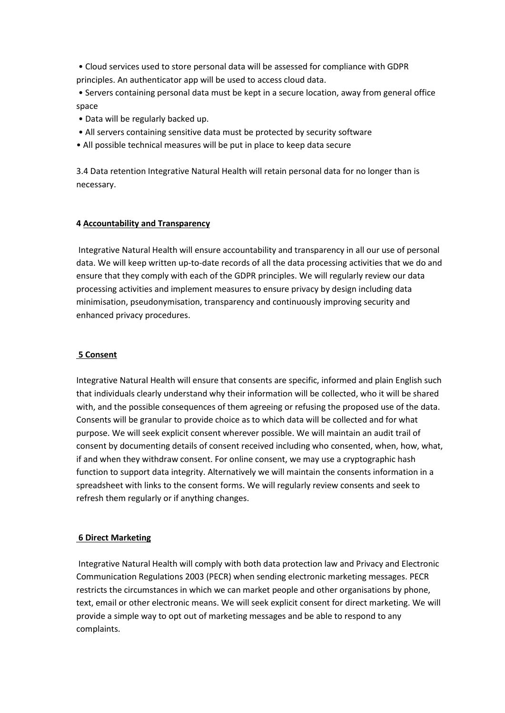- Cloud services used to store personal data will be assessed for compliance with GDPR principles. An authenticator app will be used to access cloud data.
- Servers containing personal data must be kept in a secure location, away from general office space
- Data will be regularly backed up.
- All servers containing sensitive data must be protected by security software
- All possible technical measures will be put in place to keep data secure

3.4 Data retention Integrative Natural Health will retain personal data for no longer than is necessary.

## **4 Accountability and Transparency**

Integrative Natural Health will ensure accountability and transparency in all our use of personal data. We will keep written up-to-date records of all the data processing activities that we do and ensure that they comply with each of the GDPR principles. We will regularly review our data processing activities and implement measures to ensure privacy by design including data minimisation, pseudonymisation, transparency and continuously improving security and enhanced privacy procedures.

## **5 Consent**

Integrative Natural Health will ensure that consents are specific, informed and plain English such that individuals clearly understand why their information will be collected, who it will be shared with, and the possible consequences of them agreeing or refusing the proposed use of the data. Consents will be granular to provide choice as to which data will be collected and for what purpose. We will seek explicit consent wherever possible. We will maintain an audit trail of consent by documenting details of consent received including who consented, when, how, what, if and when they withdraw consent. For online consent, we may use a cryptographic hash function to support data integrity. Alternatively we will maintain the consents information in a spreadsheet with links to the consent forms. We will regularly review consents and seek to refresh them regularly or if anything changes.

## **6 Direct Marketing**

Integrative Natural Health will comply with both data protection law and Privacy and Electronic Communication Regulations 2003 (PECR) when sending electronic marketing messages. PECR restricts the circumstances in which we can market people and other organisations by phone, text, email or other electronic means. We will seek explicit consent for direct marketing. We will provide a simple way to opt out of marketing messages and be able to respond to any complaints.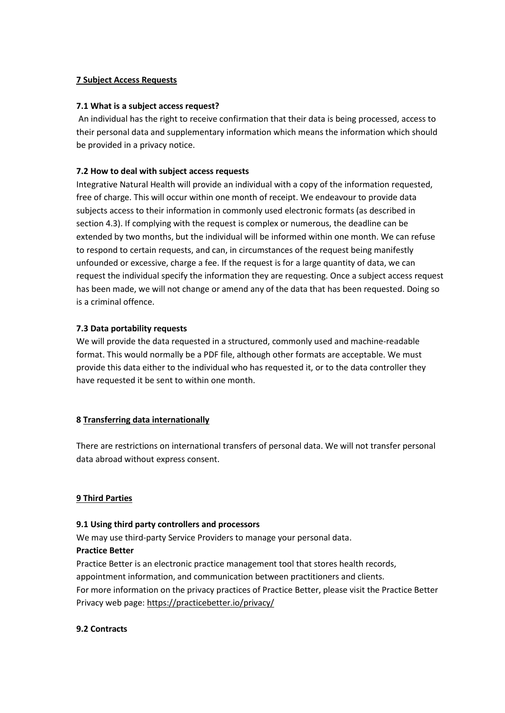## **7 Subject Access Requests**

### **7.1 What is a subject access request?**

An individual has the right to receive confirmation that their data is being processed, access to their personal data and supplementary information which means the information which should be provided in a privacy notice.

## **7.2 How to deal with subject access requests**

Integrative Natural Health will provide an individual with a copy of the information requested, free of charge. This will occur within one month of receipt. We endeavour to provide data subjects access to their information in commonly used electronic formats (as described in section 4.3). If complying with the request is complex or numerous, the deadline can be extended by two months, but the individual will be informed within one month. We can refuse to respond to certain requests, and can, in circumstances of the request being manifestly unfounded or excessive, charge a fee. If the request is for a large quantity of data, we can request the individual specify the information they are requesting. Once a subject access request has been made, we will not change or amend any of the data that has been requested. Doing so is a criminal offence.

### **7.3 Data portability requests**

We will provide the data requested in a structured, commonly used and machine-readable format. This would normally be a PDF file, although other formats are acceptable. We must provide this data either to the individual who has requested it, or to the data controller they have requested it be sent to within one month.

### **8 Transferring data internationally**

There are restrictions on international transfers of personal data. We will not transfer personal data abroad without express consent.

### **9 Third Parties**

### **9.1 Using third party controllers and processors**

We may use third-party Service Providers to manage your personal data. **Practice Better**

Practice Better is an electronic practice management tool that stores health records, appointment information, and communication between practitioners and clients. For more information on the privacy practices of Practice Better, please visit the Practice Better Privacy web page: <https://practicebetter.io/privacy/>

### **9.2 Contracts**